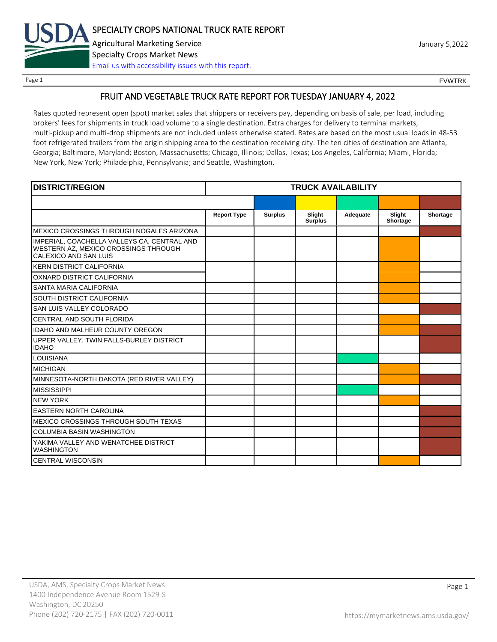

Page 1 FOUNTRK CONTROL CONTROL CONTROL CONTROL CONTROL CONTROL CONTROL CONTROL CONTROL CONTROL CONTROL CONTROL CONTROL CONTROL CONTROL CONTROL CONTROL CONTROL CONTROL CONTROL CONTROL CONTROL CONTROL CONTROL CONTROL CONTROL

# FRUIT AND VEGETABLE TRUCK RATE REPORT FOR TUESDAY JANUARY 4, 2022

Rates quoted represent open (spot) market sales that shippers or receivers pay, depending on basis of sale, per load, including brokers' fees for shipments in truck load volume to a single destination. Extra charges for delivery to terminal markets, multi-pickup and multi-drop shipments are not included unless otherwise stated. Rates are based on the most usual loads in 48-53 foot refrigerated trailers from the origin shipping area to the destination receiving city. The ten cities of destination are Atlanta, Georgia; Baltimore, Maryland; Boston, Massachusetts; Chicago, Illinois; Dallas, Texas; Los Angeles, California; Miami, Florida; New York, New York; Philadelphia, Pennsylvania; and Seattle, Washington.

| <b>DISTRICT/REGION</b>                                                                                       |                    |                | <b>TRUCK AVAILABILITY</b> |          |                    |          |
|--------------------------------------------------------------------------------------------------------------|--------------------|----------------|---------------------------|----------|--------------------|----------|
|                                                                                                              |                    |                |                           |          |                    |          |
|                                                                                                              | <b>Report Type</b> | <b>Surplus</b> | Slight<br><b>Surplus</b>  | Adequate | Slight<br>Shortage | Shortage |
| MEXICO CROSSINGS THROUGH NOGALES ARIZONA                                                                     |                    |                |                           |          |                    |          |
| IMPERIAL, COACHELLA VALLEYS CA, CENTRAL AND<br>WESTERN AZ, MEXICO CROSSINGS THROUGH<br>CALEXICO AND SAN LUIS |                    |                |                           |          |                    |          |
| <b>KERN DISTRICT CALIFORNIA</b>                                                                              |                    |                |                           |          |                    |          |
| OXNARD DISTRICT CALIFORNIA                                                                                   |                    |                |                           |          |                    |          |
| SANTA MARIA CALIFORNIA                                                                                       |                    |                |                           |          |                    |          |
| SOUTH DISTRICT CALIFORNIA                                                                                    |                    |                |                           |          |                    |          |
| SAN LUIS VALLEY COLORADO                                                                                     |                    |                |                           |          |                    |          |
| CENTRAL AND SOUTH FLORIDA                                                                                    |                    |                |                           |          |                    |          |
| <b>IDAHO AND MALHEUR COUNTY OREGON</b>                                                                       |                    |                |                           |          |                    |          |
| UPPER VALLEY, TWIN FALLS-BURLEY DISTRICT<br><b>IDAHO</b>                                                     |                    |                |                           |          |                    |          |
| <b>LOUISIANA</b>                                                                                             |                    |                |                           |          |                    |          |
| <b>MICHIGAN</b>                                                                                              |                    |                |                           |          |                    |          |
| MINNESOTA-NORTH DAKOTA (RED RIVER VALLEY)                                                                    |                    |                |                           |          |                    |          |
| <b>MISSISSIPPI</b>                                                                                           |                    |                |                           |          |                    |          |
| <b>NEW YORK</b>                                                                                              |                    |                |                           |          |                    |          |
| <b>EASTERN NORTH CAROLINA</b>                                                                                |                    |                |                           |          |                    |          |
| MEXICO CROSSINGS THROUGH SOUTH TEXAS                                                                         |                    |                |                           |          |                    |          |
| <b>COLUMBIA BASIN WASHINGTON</b>                                                                             |                    |                |                           |          |                    |          |
| YAKIMA VALLEY AND WENATCHEE DISTRICT<br><b>WASHINGTON</b>                                                    |                    |                |                           |          |                    |          |
| <b>CENTRAL WISCONSIN</b>                                                                                     |                    |                |                           |          |                    |          |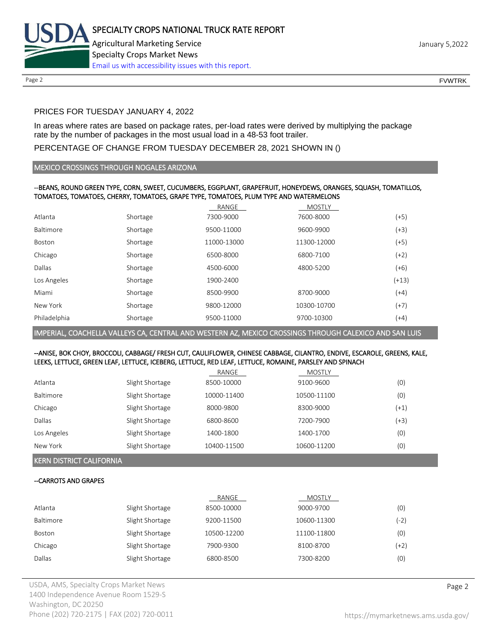

Page 2 FOUNTRK CONTROL CONTROL CONTROL CONTROL CONTROL CONTROL CONTROL CONTROL CONTROL CONTROL CONTROL CONTROL CONTROL CONTROL CONTROL CONTROL CONTROL CONTROL CONTROL CONTROL CONTROL CONTROL CONTROL CONTROL CONTROL CONTROL

# PRICES FOR TUESDAY JANUARY 4, 2022

In areas where rates are based on package rates, per-load rates were derived by multiplying the package rate by the number of packages in the most usual load in a 48-53 foot trailer.

# PERCENTAGE OF CHANGE FROM TUESDAY DECEMBER 28, 2021 SHOWN IN ()

#### MEXICO CROSSINGS THROUGH NOGALES ARIZONA

#### --BEANS, ROUND GREEN TYPE, CORN, SWEET, CUCUMBERS, EGGPLANT, GRAPEFRUIT, HONEYDEWS, ORANGES, SQUASH, TOMATILLOS, TOMATOES, TOMATOES, CHERRY, TOMATOES, GRAPE TYPE, TOMATOES, PLUM TYPE AND WATERMELONS

|              |          | RANGE       | <b>MOSTLY</b> |         |
|--------------|----------|-------------|---------------|---------|
| Atlanta      | Shortage | 7300-9000   | 7600-8000     | (+5)    |
| Baltimore    | Shortage | 9500-11000  | 9600-9900     | $(+3)$  |
| Boston       | Shortage | 11000-13000 | 11300-12000   | (+5)    |
| Chicago      | Shortage | 6500-8000   | 6800-7100     | $(+2)$  |
| Dallas       | Shortage | 4500-6000   | 4800-5200     | $(+6)$  |
| Los Angeles  | Shortage | 1900-2400   |               | $(+13)$ |
| Miami        | Shortage | 8500-9900   | 8700-9000     | $(+4)$  |
| New York     | Shortage | 9800-12000  | 10300-10700   | $(+7)$  |
| Philadelphia | Shortage | 9500-11000  | 9700-10300    | $(+4)$  |

IMPERIAL, COACHELLA VALLEYS CA, CENTRAL AND WESTERN AZ, MEXICO CROSSINGS THROUGH CALEXICO AND SAN LUIS

#### --ANISE, BOK CHOY, BROCCOLI, CABBAGE/ FRESH CUT, CAULIFLOWER, CHINESE CABBAGE, CILANTRO, ENDIVE, ESCAROLE, GREENS, KALE, LEEKS, LETTUCE, GREEN LEAF, LETTUCE, ICEBERG, LETTUCE, RED LEAF, LETTUCE, ROMAINE, PARSLEY AND SPINACH

|             |                 | RANGE       | MOSTLY      |        |
|-------------|-----------------|-------------|-------------|--------|
| Atlanta     | Slight Shortage | 8500-10000  | 9100-9600   | (0)    |
| Baltimore   | Slight Shortage | 10000-11400 | 10500-11100 | (0)    |
| Chicago     | Slight Shortage | 8000-9800   | 8300-9000   | (+1)   |
| Dallas      | Slight Shortage | 6800-8600   | 7200-7900   | $(+3)$ |
| Los Angeles | Slight Shortage | 1400-1800   | 1400-1700   | (0)    |
| New York    | Slight Shortage | 10400-11500 | 10600-11200 | (0)    |

KERN DISTRICT CALIFORNIA

## --CARROTS AND GRAPES

|                  |                 | RANGE       | <b>MOSTLY</b> |      |
|------------------|-----------------|-------------|---------------|------|
| Atlanta          | Slight Shortage | 8500-10000  | 9000-9700     | (0)  |
| <b>Baltimore</b> | Slight Shortage | 9200-11500  | 10600-11300   | (-2) |
| Boston           | Slight Shortage | 10500-12200 | 11100-11800   | (0)  |
| Chicago          | Slight Shortage | 7900-9300   | 8100-8700     | (+2) |
| Dallas           | Slight Shortage | 6800-8500   | 7300-8200     | (0)  |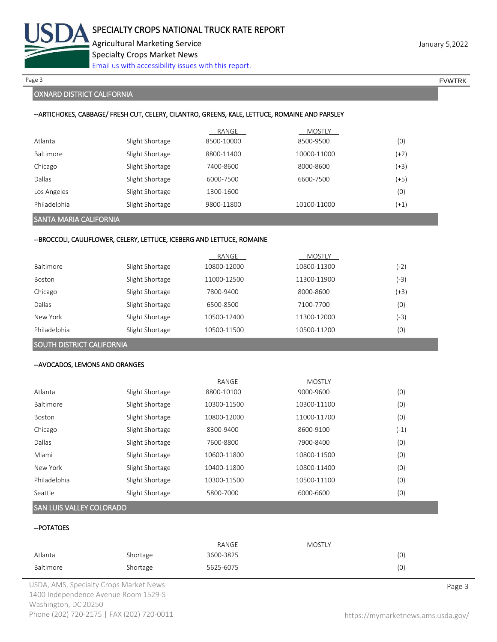

Page 3 FOUNTRK And the set of the set of the set of the set of the set of the set of the set of the set of the set of the set of the set of the set of the set of the set of the set of the set of the set of the set of the s

# OXNARD DISTRICT CALIFORNIA

#### --ARTICHOKES, CABBAGE/ FRESH CUT, CELERY, CILANTRO, GREENS, KALE, LETTUCE, ROMAINE AND PARSLEY

|                  |                 | RANGE      | MOSTLY      |        |
|------------------|-----------------|------------|-------------|--------|
| Atlanta          | Slight Shortage | 8500-10000 | 8500-9500   | (0)    |
| <b>Baltimore</b> | Slight Shortage | 8800-11400 | 10000-11000 | (+2)   |
| Chicago          | Slight Shortage | 7400-8600  | 8000-8600   | (+3)   |
| Dallas           | Slight Shortage | 6000-7500  | 6600-7500   | (+5)   |
| Los Angeles      | Slight Shortage | 1300-1600  |             | (0)    |
| Philadelphia     | Slight Shortage | 9800-11800 | 10100-11000 | $(+1)$ |

# SANTA MARIA CALIFORNIA

#### --BROCCOLI, CAULIFLOWER, CELERY, LETTUCE, ICEBERG AND LETTUCE, ROMAINE

|               |                 | RANGE       | <b>MOSTLY</b> |        |
|---------------|-----------------|-------------|---------------|--------|
| Baltimore     | Slight Shortage | 10800-12000 | 10800-11300   | (-2)   |
| <b>Boston</b> | Slight Shortage | 11000-12500 | 11300-11900   | $(-3)$ |
| Chicago       | Slight Shortage | 7800-9400   | 8000-8600     | (+3)   |
| Dallas        | Slight Shortage | 6500-8500   | 7100-7700     | (0)    |
| New York      | Slight Shortage | 10500-12400 | 11300-12000   | -3)    |
| Philadelphia  | Slight Shortage | 10500-11500 | 10500-11200   | (0)    |

# SOUTH DISTRICT CALIFORNIA

#### --AVOCADOS, LEMONS AND ORANGES

|               |                 | RANGE       | <b>MOSTLY</b> |      |
|---------------|-----------------|-------------|---------------|------|
| Atlanta       | Slight Shortage | 8800-10100  | 9000-9600     | (0)  |
| Baltimore     | Slight Shortage | 10300-11500 | 10300-11100   | (0)  |
| <b>Boston</b> | Slight Shortage | 10800-12000 | 11000-11700   | (0)  |
| Chicago       | Slight Shortage | 8300-9400   | 8600-9100     | (-1) |
| Dallas        | Slight Shortage | 7600-8800   | 7900-8400     | (0)  |
| Miami         | Slight Shortage | 10600-11800 | 10800-11500   | (0)  |
| New York      | Slight Shortage | 10400-11800 | 10800-11400   | (0)  |
| Philadelphia  | Slight Shortage | 10300-11500 | 10500-11100   | (0)  |
| Seattle       | Slight Shortage | 5800-7000   | 6000-6600     | (0)  |

#### SAN LUIS VALLEY COLORADO

# --POTATOES

|           |          | RANGE     | <b>MOSTLY</b> |     |
|-----------|----------|-----------|---------------|-----|
| Atlanta   | Shortage | 3600-3825 |               | (0) |
| Baltimore | Shortage | 5625-6075 |               | (0) |

USDA, AMS, Specialty Crops Market News **Page 3** 1400 Independence Avenue Room 1529-S Washington, DC 20250 Phone (202) 720-2175 | FAX (202) 720-0011 <https://mymarketnews.ams.usda.gov/>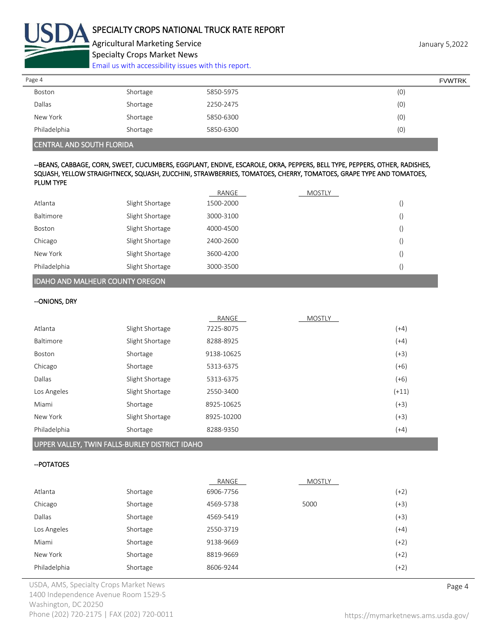

Agricultural Marketing Service **Agricultural Marketing Service** January 5,2022 Specialty Crops Market News

[Email us with accessibility issues with this report.](mailto:mars@ams.usda.gov?subject=508%20Inquiry/Report)

| Page 4       |          |           | <b>FVWTRK</b> |
|--------------|----------|-----------|---------------|
| Boston       | Shortage | 5850-5975 | (0)           |
| Dallas       | Shortage | 2250-2475 | (0)           |
| New York     | Shortage | 5850-6300 | (0)           |
| Philadelphia | Shortage | 5850-6300 | (0)           |

# CENTRAL AND SOUTH FLORIDA

#### --BEANS, CABBAGE, CORN, SWEET, CUCUMBERS, EGGPLANT, ENDIVE, ESCAROLE, OKRA, PEPPERS, BELL TYPE, PEPPERS, OTHER, RADISHES, SQUASH, YELLOW STRAIGHTNECK, SQUASH, ZUCCHINI, STRAWBERRIES, TOMATOES, CHERRY, TOMATOES, GRAPE TYPE AND TOMATOES, PLUM TYPE

|                                 |                 | RANGE     | <b>MOSTLY</b> |    |
|---------------------------------|-----------------|-----------|---------------|----|
| Atlanta                         | Slight Shortage | 1500-2000 |               | () |
| Baltimore                       | Slight Shortage | 3000-3100 |               | () |
| Boston                          | Slight Shortage | 4000-4500 |               | () |
| Chicago                         | Slight Shortage | 2400-2600 |               | () |
| New York                        | Slight Shortage | 3600-4200 |               | () |
| Philadelphia                    | Slight Shortage | 3000-3500 |               |    |
| HDAHO AND MALHEUR COUNTY OREGON |                 |           |               |    |

# --ONIONS, DRY

|              |                 | RANGE      | <b>MOSTLY</b> |         |
|--------------|-----------------|------------|---------------|---------|
| Atlanta      | Slight Shortage | 7225-8075  |               | $(+4)$  |
| Baltimore    | Slight Shortage | 8288-8925  |               | $(+4)$  |
| Boston       | Shortage        | 9138-10625 |               | $(+3)$  |
| Chicago      | Shortage        | 5313-6375  |               | $(+6)$  |
| Dallas       | Slight Shortage | 5313-6375  |               | $(+6)$  |
| Los Angeles  | Slight Shortage | 2550-3400  |               | $(+11)$ |
| Miami        | Shortage        | 8925-10625 |               | $(+3)$  |
| New York     | Slight Shortage | 8925-10200 |               | $(+3)$  |
| Philadelphia | Shortage        | 8288-9350  |               | $(+4)$  |
|              |                 |            |               |         |

#### UPPER VALLEY, TWIN FALLS-BURLEY DISTRICT IDAHO

#### --POTATOES

|              |          | RANGE     | <b>MOSTLY</b> |        |
|--------------|----------|-----------|---------------|--------|
| Atlanta      | Shortage | 6906-7756 |               | (+2)   |
| Chicago      | Shortage | 4569-5738 | 5000          | (+3)   |
| Dallas       | Shortage | 4569-5419 |               | (+3)   |
| Los Angeles  | Shortage | 2550-3719 |               | (+4)   |
| Miami        | Shortage | 9138-9669 |               | $(+2)$ |
| New York     | Shortage | 8819-9669 |               | (+2)   |
| Philadelphia | Shortage | 8606-9244 |               | $(+2)$ |

USDA, AMS, Specialty Crops Market News **Page 4** 1400 Independence Avenue Room 1529-S Washington, DC 20250 Phone (202) 720-2175 | FAX (202) 720-0011 <https://mymarketnews.ams.usda.gov/>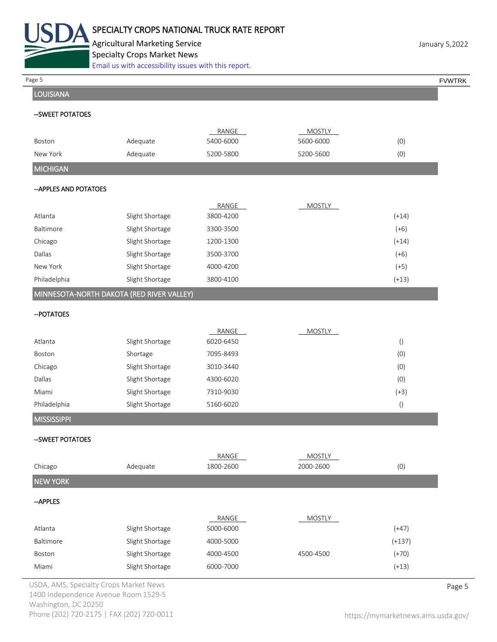

Agricultural Marketing Service **January 5,2022** Specialty Crops Market News

|                        | 300<br>Email us with accessibility issues with this report. |                    |                            |                  |               |
|------------------------|-------------------------------------------------------------|--------------------|----------------------------|------------------|---------------|
| Page 5                 |                                                             |                    |                            |                  | <b>FVWTRK</b> |
| <b>LOUISIANA</b>       |                                                             |                    |                            |                  |               |
| --SWEET POTATOES       |                                                             |                    |                            |                  |               |
|                        |                                                             |                    |                            |                  |               |
| Boston                 | Adequate                                                    | RANGE<br>5400-6000 | <b>MOSTLY</b><br>5600-6000 | (0)              |               |
| New York               | Adequate                                                    | 5200-5800          | 5200-5600                  | (0)              |               |
| <b>MICHIGAN</b>        |                                                             |                    |                            |                  |               |
|                        |                                                             |                    |                            |                  |               |
| -- APPLES AND POTATOES |                                                             |                    |                            |                  |               |
|                        |                                                             | RANGE              | <b>MOSTLY</b>              |                  |               |
| Atlanta                | Slight Shortage                                             | 3800-4200          |                            | $(+14)$          |               |
| Baltimore              | Slight Shortage                                             | 3300-3500          |                            | $(+6)$           |               |
| Chicago                | Slight Shortage                                             | 1200-1300          |                            | $(+14)$          |               |
| Dallas                 | Slight Shortage                                             | 3500-3700          |                            | $(+6)$           |               |
| New York               | Slight Shortage                                             | 4000-4200          |                            | $(+5)$           |               |
| Philadelphia           | Slight Shortage                                             | 3800-4100          |                            | $(+13)$          |               |
|                        | MINNESOTA-NORTH DAKOTA (RED RIVER VALLEY)                   |                    |                            |                  |               |
| -- POTATOES            |                                                             |                    |                            |                  |               |
|                        |                                                             | RANGE              | <b>MOSTLY</b>              |                  |               |
| Atlanta                | Slight Shortage                                             | 6020-6450          |                            | $\left( \right)$ |               |
| Boston                 | Shortage                                                    | 7095-8493          |                            | (0)              |               |
| Chicago                | Slight Shortage                                             | 3010-3440          |                            | (0)              |               |
| Dallas                 | Slight Shortage                                             | 4300-6020          |                            | (0)              |               |
| Miami                  | Slight Shortage                                             | 7310-9030          |                            | $(+3)$           |               |
| Philadelphia           | Slight Shortage                                             | 5160-6020          |                            | $\left( \right)$ |               |
| <b>MISSISSIPPI</b>     |                                                             |                    |                            |                  |               |
| -- SWEET POTATOES      |                                                             |                    |                            |                  |               |
|                        |                                                             | RANGE              | <b>MOSTLY</b>              |                  |               |
| Chicago                | Adequate                                                    | 1800-2600          | 2000-2600                  | (0)              |               |
| <b>NEW YORK</b>        |                                                             |                    |                            |                  |               |
| --APPLES               |                                                             |                    |                            |                  |               |
|                        |                                                             | RANGE              | <b>MOSTLY</b>              |                  |               |
| Atlanta                | Slight Shortage                                             | 5000-6000          |                            | $(+47)$          |               |
| Baltimore              | Slight Shortage                                             | 4000-5000          |                            | $(+137)$         |               |
| Boston                 | Slight Shortage                                             | 4000-4500          | 4500-4500                  | $(+70)$          |               |
| Miami                  | Slight Shortage                                             | 6000-7000          |                            | $(+13)$          |               |
|                        | USDA, AMS, Specialty Crops Market News                      |                    |                            |                  | Page 5        |

1400 Independence Avenue Room 1529-S Washington, DC 20250 Phone (202) 720-2175 | FAX (202) 720-0011 <https://mymarketnews.ams.usda.gov/>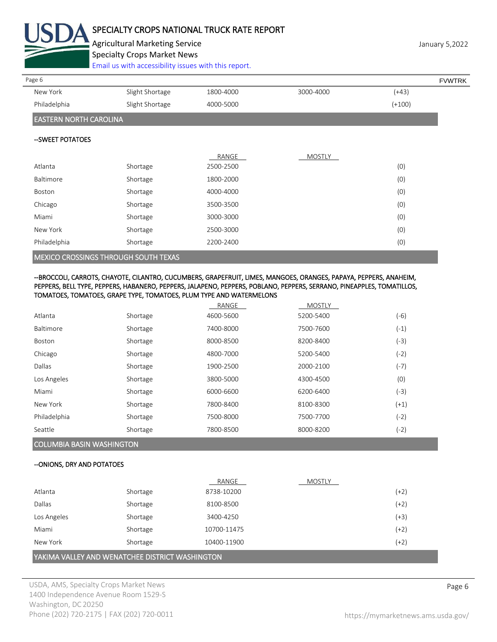

# SPECIALTY CROPS NATIONAL TRUCK RATE REPORT

Agricultural Marketing Service **Marketing Service** January 5,2022 Specialty Crops Market News

[Email us with accessibility issues with this report.](mailto:mars@ams.usda.gov?subject=508%20Inquiry/Report)

| Page 6                        |                                                                                                                                                                                                                                      |           |           |          | <b>FVWTRK</b> |
|-------------------------------|--------------------------------------------------------------------------------------------------------------------------------------------------------------------------------------------------------------------------------------|-----------|-----------|----------|---------------|
| New York                      | Slight Shortage                                                                                                                                                                                                                      | 1800-4000 | 3000-4000 | $(+43)$  |               |
| Philadelphia                  | Slight Shortage                                                                                                                                                                                                                      | 4000-5000 |           | $(+100)$ |               |
| <b>EASTERN NORTH CAROLINA</b> |                                                                                                                                                                                                                                      |           |           |          |               |
| --SWEET POTATOES              |                                                                                                                                                                                                                                      |           |           |          |               |
|                               |                                                                                                                                                                                                                                      | RANGE     | MOSTLY    |          |               |
| Atlanta                       | Shortage                                                                                                                                                                                                                             | 2500-2500 |           | (0)      |               |
| Baltimore                     | Shortage                                                                                                                                                                                                                             | 1800-2000 |           | (0)      |               |
| Boston                        | Shortage                                                                                                                                                                                                                             | 4000-4000 |           | (0)      |               |
| Chicago                       | Shortage                                                                                                                                                                                                                             | 3500-3500 |           | (0)      |               |
| Miami                         | Shortage                                                                                                                                                                                                                             | 3000-3000 |           | (0)      |               |
| New York                      | Shortage                                                                                                                                                                                                                             | 2500-3000 |           | (0)      |               |
| Philadelphia                  | Shortage                                                                                                                                                                                                                             | 2200-2400 |           | (0)      |               |
|                               | <u>. A mar a component model and some service and a component component and the component of the component of the component of the component of the component of the component of the component of the component of the componen</u> |           |           |          |               |

MEXICO CROSSINGS THROUGH SOUTH TEXAS

#### --BROCCOLI, CARROTS, CHAYOTE, CILANTRO, CUCUMBERS, GRAPEFRUIT, LIMES, MANGOES, ORANGES, PAPAYA, PEPPERS, ANAHEIM, PEPPERS, BELL TYPE, PEPPERS, HABANERO, PEPPERS, JALAPENO, PEPPERS, POBLANO, PEPPERS, SERRANO, PINEAPPLES, TOMATILLOS, TOMATOES, TOMATOES, GRAPE TYPE, TOMATOES, PLUM TYPE AND WATERMELONS

|                  |          | RANGE     | <b>MOSTLY</b> |        |
|------------------|----------|-----------|---------------|--------|
| Atlanta          | Shortage | 4600-5600 | 5200-5400     | $(-6)$ |
| <b>Baltimore</b> | Shortage | 7400-8000 | 7500-7600     | $(-1)$ |
| Boston           | Shortage | 8000-8500 | 8200-8400     | (-3)   |
| Chicago          | Shortage | 4800-7000 | 5200-5400     | (-2)   |
| Dallas           | Shortage | 1900-2500 | 2000-2100     | $(-7)$ |
| Los Angeles      | Shortage | 3800-5000 | 4300-4500     | (0)    |
| Miami            | Shortage | 6000-6600 | 6200-6400     | (-3)   |
| New York         | Shortage | 7800-8400 | 8100-8300     | $(+1)$ |
| Philadelphia     | Shortage | 7500-8000 | 7500-7700     | $(-2)$ |
| Seattle          | Shortage | 7800-8500 | 8000-8200     | (-2)   |
|                  |          |           |               |        |

# COLUMBIA BASIN WASHINGTON

## --ONIONS, DRY AND POTATOES

|                                                 |          | RANGE       | <b>MOSTLY</b> |        |
|-------------------------------------------------|----------|-------------|---------------|--------|
| Atlanta                                         | Shortage | 8738-10200  |               | $(+2)$ |
| Dallas                                          | Shortage | 8100-8500   |               | $(+2)$ |
| Los Angeles                                     | Shortage | 3400-4250   |               | $(+3)$ |
| Miami                                           | Shortage | 10700-11475 |               | $(+2)$ |
| New York                                        | Shortage | 10400-11900 |               | $(+2)$ |
| YAKIMA VALLEY AND WENATCHEE DISTRICT WASHINGTON |          |             |               |        |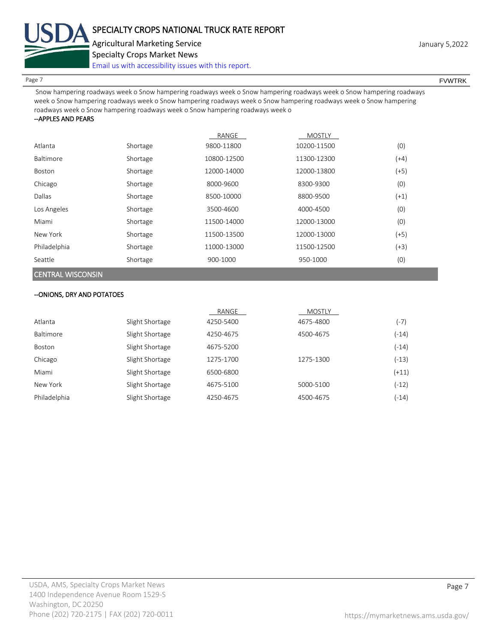

Page 7 FOUNTRK And the set of the set of the set of the set of the set of the set of the set of the set of the set of the set of the set of the set of the set of the set of the set of the set of the set of the set of the s

 Snow hampering roadways week o Snow hampering roadways week o Snow hampering roadways week o Snow hampering roadways week o Snow hampering roadways week o Snow hampering roadways week o Snow hampering roadways week o Snow hampering roadways week o Snow hampering roadways week o Snow hampering roadways week o

#### --APPLES AND PEARS

|                  |          | RANGE       | <b>MOSTLY</b> |        |
|------------------|----------|-------------|---------------|--------|
| Atlanta          | Shortage | 9800-11800  | 10200-11500   | (0)    |
| <b>Baltimore</b> | Shortage | 10800-12500 | 11300-12300   | $(+4)$ |
| Boston           | Shortage | 12000-14000 | 12000-13800   | $(+5)$ |
| Chicago          | Shortage | 8000-9600   | 8300-9300     | (0)    |
| Dallas           | Shortage | 8500-10000  | 8800-9500     | $(+1)$ |
| Los Angeles      | Shortage | 3500-4600   | 4000-4500     | (0)    |
| Miami            | Shortage | 11500-14000 | 12000-13000   | (0)    |
| New York         | Shortage | 11500-13500 | 12000-13000   | $(+5)$ |
| Philadelphia     | Shortage | 11000-13000 | 11500-12500   | $(+3)$ |
| Seattle          | Shortage | 900-1000    | 950-1000      | (0)    |

# CENTRAL WISCONSIN

# --ONIONS, DRY AND POTATOES

|              |                 | RANGE     | <b>MOSTLY</b> |         |
|--------------|-----------------|-----------|---------------|---------|
| Atlanta      | Slight Shortage | 4250-5400 | 4675-4800     | $(-7)$  |
| Baltimore    | Slight Shortage | 4250-4675 | 4500-4675     | (-14)   |
| Boston       | Slight Shortage | 4675-5200 |               | $(-14)$ |
| Chicago      | Slight Shortage | 1275-1700 | 1275-1300     | $(-13)$ |
| Miami        | Slight Shortage | 6500-6800 |               | $(+11)$ |
| New York     | Slight Shortage | 4675-5100 | 5000-5100     | (-12)   |
| Philadelphia | Slight Shortage | 4250-4675 | 4500-4675     | (-14)   |